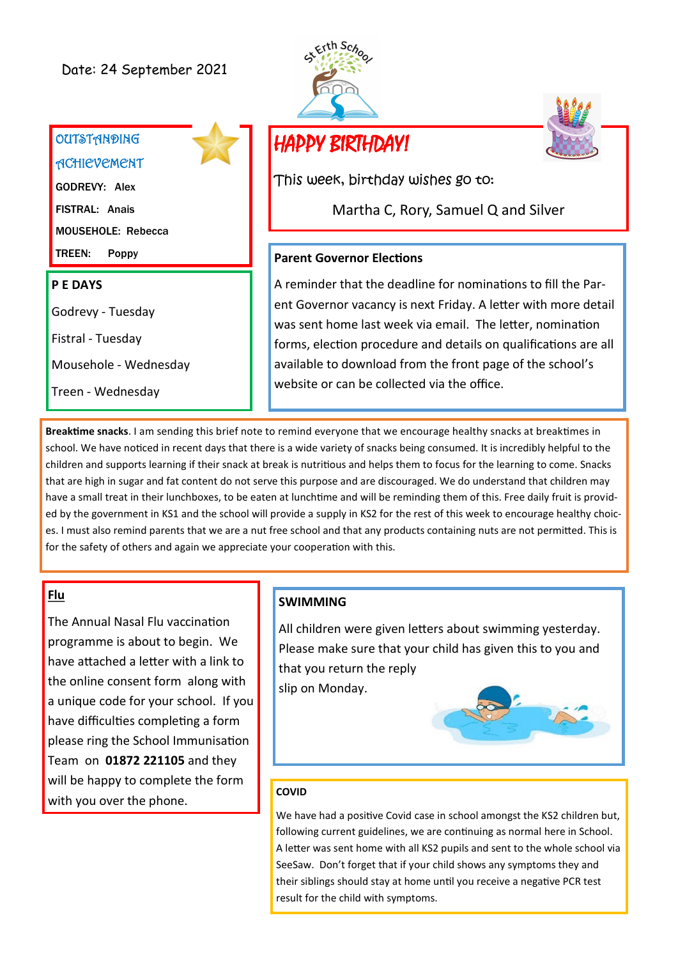# **OUTSTANDING**

**ACHIEVEMENT** 

GODREVY: Alex FISTRAL: Anais MOUSEHOLE: Rebecca TREEN: Poppy

#### **P E DAYS**

Godrevy - Tuesday

Fistral - Tuesday

Mousehole - Wednesday

Treen - Wednesday





# HAPPY BIRTHDAY!

This week, birthday wishes go to:

Martha C, Rory, Samuel Q and Silver

#### **Parent Governor Elections**

A reminder that the deadline for nominations to fill the Parent Governor vacancy is next Friday. A letter with more detail was sent home last week via email. The letter, nomination forms, election procedure and details on qualifications are all available to download from the front page of the school's website or can be collected via the office.

**Breaktime snacks**. I am sending this brief note to remind everyone that we encourage healthy snacks at breaktimes in school. We have noticed in recent days that there is a wide variety of snacks being consumed. It is incredibly helpful to the children and supports learning if their snack at break is nutritious and helps them to focus for the learning to come. Snacks that are high in sugar and fat content do not serve this purpose and are discouraged. We do understand that children may have a small treat in their lunchboxes, to be eaten at lunchtime and will be reminding them of this. Free daily fruit is provided by the government in KS1 and the school will provide a supply in KS2 for the rest of this week to encourage healthy choices. I must also remind parents that we are a nut free school and that any products containing nuts are not permitted. This is for the safety of others and again we appreciate your cooperation with this.

## **Flu**

The Annual Nasal Flu vaccination programme is about to begin. We have attached a letter with a link to the online consent form along with a unique code for your school. If you have difficulties completing a form please ring the School Immunisation Team on **01872 221105** and they will be happy to complete the form with you over the phone.

#### **SWIMMING**

All children were given letters about swimming yesterday. Please make sure that your child has given this to you and that you return the reply slip on Monday.



#### **COVID**

We have had a positive Covid case in school amongst the KS2 children but, following current guidelines, we are continuing as normal here in School. A letter was sent home with all KS2 pupils and sent to the whole school via SeeSaw. Don't forget that if your child shows any symptoms they and their siblings should stay at home until you receive a negative PCR test result for the child with symptoms.